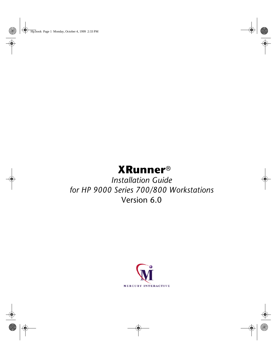$\bigoplus$ Hp.book Page 1 Monday, October 4, 1999 2:33 PM

# **XRunner®**

**Installation Guide** for HP 9000 Series 700/800 Workstations Version 6.0

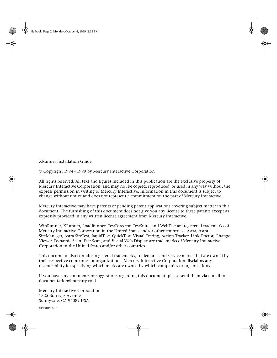Hp.book Page 2 Monday, October 4, 1999 2:33 PM

XRunner Installation Guide

© Copyright 1994 - 1999 by Mercury Interactive Corporation

All rights reserved. All text and figures included in this publication are the exclusive property of Mercury Interactive Corporation, and may not be copied, reproduced, or used in any way without the express permission in writing of Mercury Interactive. Information in this document is subject to change without notice and does not represent a commitment on the part of Mercury Interactive.

Mercury Interactive may have patents or pending patent applications covering subject matter in this document. The furnishing of this document does not give you any license to these patents except as expressly provided in any written license agreement from Mercury Interactive.

WinRunner, XRunner, LoadRunner, TestDirector, TestSuite, and WebTest are registered trademarks of Mercury Interactive Corporation in the United States and/or other countries. Astra, Astra SiteManager, Astra SiteTest, RapidTest, QuickTest, Visual Testing, Action Tracker, Link Doctor, Change Viewer, Dynamic Scan, Fast Scan, and Visual Web Display are trademarks of Mercury Interactive Corporation in the United States and/or other countries.

This document also contains registered trademarks, trademarks and service marks that are owned by their respective companies or organizations. Mercury Interactive Corporation disclaims any responsibility for specifying which marks are owned by which companies or organizations.

If you have any comments or suggestions regarding this document, please send them via e-mail to documentation@mercury.co.il.

Mercury Interactive Corporation 1325 Borregas Avenue Sunnyvale, CA 94089 USA

XRIGHP6.0/01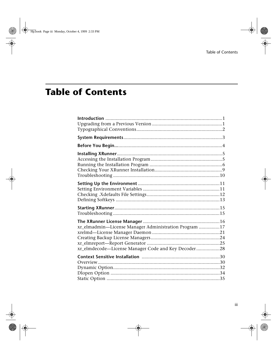$\overline{\bigoplus}$ 

Table of Contents

 $\bigoplus$ 

# **Table of Contents**

| xr_elmadmin-License Manager Administration Program 17<br>xr_elmdecode-License Manager Code and Key Decoder28 |
|--------------------------------------------------------------------------------------------------------------|
|                                                                                                              |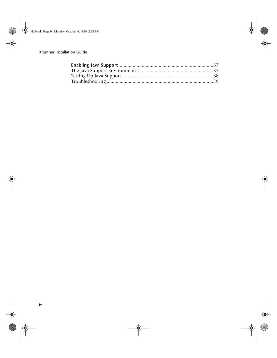Hp.book Page iv Monday, October 4, 1999 2:33 PM

O

 $\frac{1}{\sqrt{2}}$ 

XRunner Installation Guide

 $iv$ 

O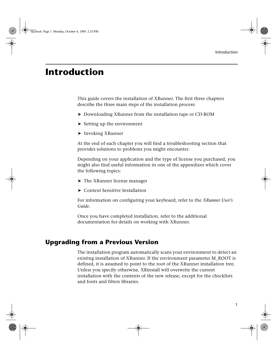$\mathbf{1}$ 

# **Introduction**

This guide covers the installation of XRunner. The first three chapters describe the three main steps of the installation process:

- > Downloading XRunner from the installation tape or CD-ROM
- $\blacktriangleright$  Setting up the environment
- $\blacktriangleright$  Invoking XRunner

At the end of each chapter you will find a troubleshooting section that provides solutions to problems you might encounter.

Depending on your application and the type of license you purchased, you might also find useful information in one of the appendixes which cover the following topics:

- > The XRunner license manager
- > Context Sensitive Installation

For information on configuring your keyboard, refer to the XRunner User's Guide.

Once you have completed installation, refer to the additional documentation for details on working with XRunner.

## **Upgrading from a Previous Version**

The installation program automatically scans your environment to detect an existing installation of XRunner. If the environment parameter M\_ROOT is defined, it is assumed to point to the root of the XRunner installation tree. Unless you specify otherwise, XRinstall will overwrite the current installation with the contents of the new release, except for the checklists and fonts and filters libraries.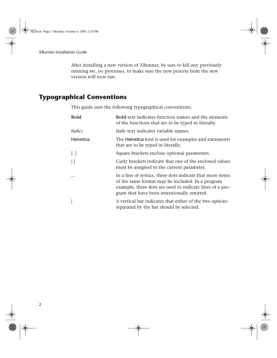Hp.book Page 2 Monday, October 4, 1999 2:33 PM

XRunner Installation Guide

After installing a new version of XRunner, be sure to kill any previously running mc\_svc processes, to make sure the new process from the new version will now run.

 $\begin{picture}(120,110) \put(150,110){\line(1,0){100}} \put(150,110){\line(1,0){100}} \put(150,110){\line(1,0){100}} \put(150,110){\line(1,0){100}} \put(150,110){\line(1,0){100}} \put(150,110){\line(1,0){100}} \put(150,110){\line(1,0){100}} \put(150,110){\line(1,0){100}} \put(150,110){\line(1,0){100}} \put(150,11$ 

# **Typographical Conventions**

This guide uses the following typographical conventions:

| <b>Bold</b>    | <b>Bold</b> text indicates function names and the elements<br>of the functions that are to be typed in literally.                                                                                                      |
|----------------|------------------------------------------------------------------------------------------------------------------------------------------------------------------------------------------------------------------------|
| <i>Italics</i> | <i>Italic</i> text indicates variable names.                                                                                                                                                                           |
| Helvetica      | The Helvetica font is used for examples and statements<br>that are to be typed in literally.                                                                                                                           |
| $\Box$         | Square brackets enclose optional parameters.                                                                                                                                                                           |
| $\{\}$         | Curly brackets indicate that one of the enclosed values<br>must be assigned to the current parameter.                                                                                                                  |
|                | In a line of syntax, three dots indicate that more items<br>of the same format may be included. In a program<br>example, three dots are used to indicate lines of a pro-<br>gram that have been intentionally omitted. |
|                | A vertical bar indicates that either of the two options<br>separated by the bar should be selected                                                                                                                     |

 $\overline{2}$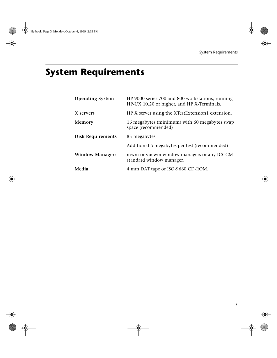$\overline{\bigoplus}$ 

**DESCRIPTION** 

System Requirements

 $\bigoplus$ 

# **System Requirements**

| <b>Operating System</b>  | HP 9000 series 700 and 800 workstations, running<br>HP-UX 10.20 or higher, and HP X-Terminals. |
|--------------------------|------------------------------------------------------------------------------------------------|
| X servers                | HP X server using the XTestExtension1 extension.                                               |
| Memory                   | 16 megabytes (minimum) with 60 megabytes swap<br>space (recommended)                           |
| <b>Disk Requirements</b> | 85 megabytes                                                                                   |
|                          | Additional 5 megabytes per test (recommended)                                                  |
| <b>Window Managers</b>   | mwm or vuewm window managers or any ICCCM<br>standard window manager.                          |
| Media                    | 4 mm DAT tape or ISO-9660 CD-ROM.                                                              |

 $\overline{\mathbf{3}}$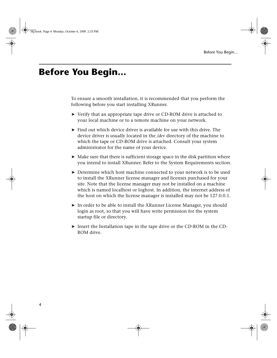Before You Begin...

# **Before You Begin...**

To ensure a smooth installation, it is recommended that you perform the following before you start installing XRunner.

- ▶ Verify that an appropriate tape drive or CD-ROM drive is attached to your local machine or to a remote machine on your network.
- lacktriangleright Find out which device driver is available for use with this drive. The device driver is usually located in the /dev directory of the machine to which the tape or CD-ROM drive is attached. Consult your system administrator for the name of your device.
- > Make sure that there is sufficient storage space in the disk partition where you intend to install XRunner. Refer to the System Requirements section.
- Determine which host machine connected to your network is to be used to install the XRunner license manager and licenses purchased for your site. Note that the license manager may not be installed on a machine which is named localhost or loghost. In addition, the internet address of the host on which the license manager is installed may not be 127.0.0.1.
- In order to be able to install the XRunner License Manager, you should login as root, so that you will have write permission for the system startup file or directory.
- Insert the Installation tape in the tape drive or the CD-ROM in the CD-ROM drive.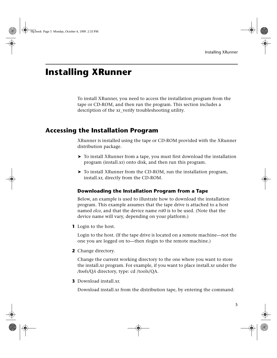# **Installing XRunner**

To install XRunner, you need to access the installation program from the tape or CD-ROM, and then run the program. This section includes a description of the xr\_verify troubleshooting utility.

## **Accessing the Installation Program**

XRunner is installed using the tape or CD-ROM provided with the XRunner distribution package.

- To install XRunner from a tape, you must first download the installation program (install.xr) onto disk, and then run this program.
- To install XRunner from the CD-ROM, run the installation program, install.xr, directly from the CD-ROM.

### Downloading the Installation Program from a Tape

Below, an example is used to illustrate how to download the installation program. This example assumes that the tape drive is attached to a host named elco, and that the device name rst0 is to be used. (Note that the device name will vary, depending on your platform.)

**1** Login to the host.

Login to the host. (If the tape drive is located on a remote machine—not the one you are logged on to—then rlogin to the remote machine.)

2 Change directory.

Change the current working directory to the one where you want to store the install.xr program. For example, if you want to place install.xr under the /tools/QA directory, type: cd /tools/QA.

3 Download install.xr.

Download install.xr from the distribution tape, by entering the command: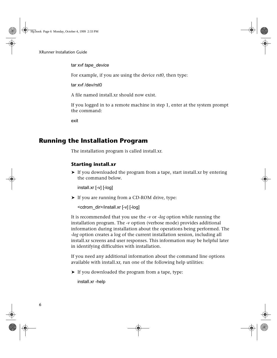Hp.book Page 6 Monday, October 4, 1999 2:33 PM

XRunner Installation Guide

tar xvf tape device

For example, if you are using the device rst0, then type:

tar xvf /dev/rst0

A file named install.xr should now exist.

If you logged in to a remote machine in step 1, enter at the system prompt the command:

exit

# **Running the Installation Program**

The installation program is called install.xr.

### **Starting install.xr**

If you downloaded the program from a tape, start install.xr by entering the command below.

install.xr [-v] [-log]

If you are running from a CD-ROM drive, type:

<cdrom dir>/install.xr [-v] [-log]

It is recommended that you use the -v or -log option while running the installation program. The  $-v$  option (verbose mode) provides additional information during installation about the operations being performed. The *log* option creates a log of the current installation session, including all install.xr screens and user responses. This information may be helpful later in identifying difficulties with installation.

If you need any additional information about the command line options available with install.xr, run one of the following help utilities:

 $\blacktriangleright$  If you downloaded the program from a tape, type:

install.xr -help

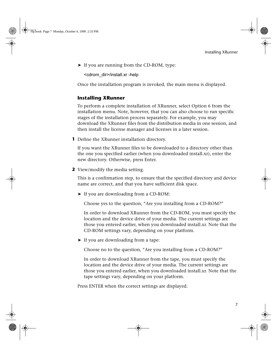**Installing XRunner** 

 $\overline{7}$ 

If you are running from the CD-ROM, type:

<cdrom\_dir>/install.xr -help

Once the installation program is invoked, the main menu is displayed.

### **Installing XRunner**

To perform a complete installation of XRunner, select Option 6 from the installation menu. Note, however, that you can also choose to run specific stages of the installation process separately. For example, you may download the XRunner files from the distribution media in one session, and then install the license manager and licenses in a later session.

1 Define the XRunner installation directory.

If you want the XRunner files to be downloaded to a directory other than the one you specified earlier (when you downloaded install.xr), enter the new directory. Otherwise, press Enter.

2 View/modify the media setting.

This is a confirmation step, to ensure that the specified directory and device name are correct, and that you have sufficient disk space.

If you are downloading from a CD-ROM:

Choose yes to the question, "Are you installing from a CD-ROM?"

In order to download XRunner from the CD-ROM, you must specify the location and the device drive of your media. The current settings are those you entered earlier, when you downloaded install.xr. Note that the CD-ROM settings vary, depending on your platform.

If you are downloading from a tape:

Choose no to the question, "Are you installing from a CD-ROM?"

In order to download XRunner from the tape, you must specify the location and the device drive of your media. The current settings are those you entered earlier, when you downloaded install.xr. Note that the tape settings vary, depending on your platform.

Press ENTER when the correct settings are displayed.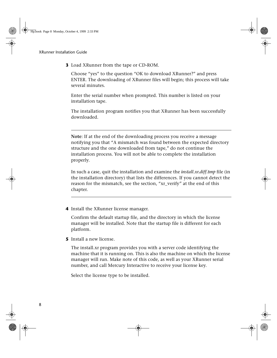#### XRunner Installation Guide

3 Load XRunner from the tape or CD-ROM.

Choose "yes" to the question "OK to download XRunner?" and press ENTER. The downloading of XRunner files will begin; this process will take several minutes.

Enter the serial number when prompted. This number is listed on your installation tape.

The installation program notifies you that XRunner has been successfully downloaded.

Note: If at the end of the downloading process you receive a message notifying you that "A mismatch was found between the expected directory structure and the one downloaded from tape," do not continue the installation process. You will not be able to complete the installation properly.

In such a case, quit the installation and examine the *install.xr.diff.tmp* file (in the installation directory) that lists the differences. If you cannot detect the reason for the mismatch, see the section, "xr\_verify" at the end of this chapter.

4 Install the XRunner license manager.

Confirm the default startup file, and the directory in which the license manager will be installed. Note that the startup file is different for each platform.

5 Install a new license.

The install xr program provides you with a server code identifying the machine that it is running on. This is also the machine on which the license manager will run. Make note of this code, as well as your XRunner serial number, and call Mercury Interactive to receive your license key.

Select the license type to be installed.

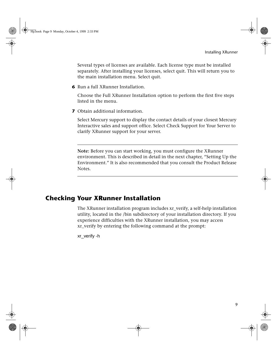Installing XRunner

9

Several types of licenses are available. Each license type must be installed separately. After installing your licenses, select quit. This will return you to the main installation menu. Select quit.

6 Run a full XRunner Installation.

Choose the Full XRunner Installation option to perform the first five steps listed in the menu.

7 Obtain additional information.

Select Mercury support to display the contact details of your closest Mercury Interactive sales and support office. Select Check Support for Your Server to clarify XRunner support for your server.

Note: Before you can start working, you must configure the XRunner environment. This is described in detail in the next chapter, "Setting Up the Environment." It is also recommended that you consult the Product Release Notes.

## **Checking Your XRunner Installation**

The XRunner installation program includes xr\_verify, a self-help installation utility, located in the /bin subdirectory of your installation directory. If you experience difficulties with the XRunner installation, you may access xr\_verify by entering the following command at the prompt:

xr\_verify -h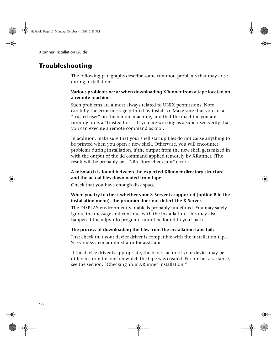**XRunner Installation Guide** 

## **Troubleshooting**

The following paragraphs describe some common problems that may arise during installation:

## Various problems occur when downloading XRunner from a tape located on a remote machine.

Such problems are almost always related to UNIX permissions. Note carefully the error message printed by install.xr. Make sure that you are a "trusted user" on the remote machine, and that the machine you are running on is a "trusted host." If you are working as a superuser, verify that you can execute a remote command as root.

In addition, make sure that your shell startup files do not cause anything to be printed when you open a new shell. Otherwise, you will encounter problems during installation, if the output from the new shell gets mixed in with the output of the dd command applied remotely by XRunner. (The result will be probably be a "directory checksum" error.)

## A mismatch is found between the expected XRunner directory structure and the actual files downloaded from tape.

Check that you have enough disk space.

## When you try to check whether your X Server is supported (option 8 in the installation menu), the program does not detect the X Server.

The DISPLAY environment variable is probably undefined. You may safely ignore the message and continue with the installation. This may also happen if the xdpyinfo program cannot be found in your path.

## The process of downloading the files from the installation tape fails.

First check that your device driver is compatible with the installation tape. See your system administrator for assistance.

If the device driver is appropriate, the block factor of your device may be different from the one on which the tape was created. For further assistance, see the section, "Checking Your XRunner Installation."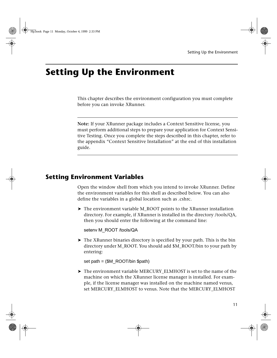Setting Up the Environment

# **Setting Up the Environment**

This chapter describes the environment configuration you must complete before you can invoke XRunner.

Note: If your XRunner package includes a Context Sensitive license, you must perform additional steps to prepare your application for Context Sensitive Testing. Once you complete the steps described in this chapter, refer to the appendix "Context Sensitive Installation" at the end of this installation guide.

# **Setting Environment Variables**

Open the window shell from which you intend to invoke XRunner. Define the environment variables for this shell as described below. You can also define the variables in a global location such as .cshrc.

The environment variable M\_ROOT points to the XRunner installation directory. For example, if XRunner is installed in the directory /tools/QA, then you should enter the following at the command line:

setenv M ROOT /tools/QA

► The XRunner binaries directory is specified by your path. This is the bin directory under M\_ROOT. You should add \$M\_ROOT/bin to your path by entering:

set path =  $($M_ROOT/bin$  \$path)

The environment variable MERCURY\_ELMHOST is set to the name of the machine on which the XRunner license manager is installed. For example, if the license manager was installed on the machine named venus, set MERCURY ELMHOST to venus. Note that the MERCURY ELMHOST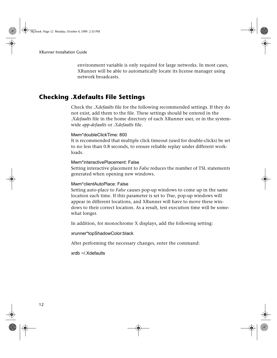XRunner Installation Guide

environment variable is only required for large networks. In most cases, XRunner will be able to automatically locate its license manager using network broadcasts.

## **Checking . Xdefaults File Settings**

Check the .*Xdefaults* file for the following recommended settings. If they do not exist, add them to the file. These settings should be entered in the .Xdefaults file in the home directory of each XRunner user, or in the systemwide app-defaults or .Xdefaults file.

#### Mwm\*doubleClickTime: 800

It is recommended that multiple click timeout (used for double-clicks) be set to no less than 0.8 seconds, to ensure reliable replay under different workloads.

#### Mwm\*interactivePlacement: False

Setting interactive placement to False reduces the number of TSL statements generated when opening new windows.

#### Mwm\*clientAutoPlace: False

Setting auto-place to False causes pop-up windows to come up in the same location each time. If this parameter is set to *True*, pop-up windows will appear in different locations, and XRunner will have to move these windows to their correct location. As a result, test execution time will be somewhat longer.

In addition, for monochrome X displays, add the following setting:

xrunner\*topShadowColor:black

After performing the necessary changes, enter the command:

xrdb ~/.Xdefaults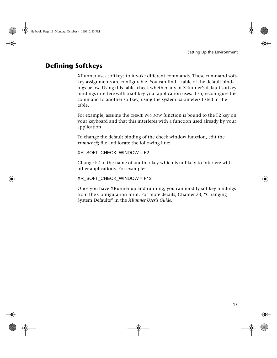Setting Up the Environment

# **Defining Softkeys**

XRunner uses softkeys to invoke different commands. These command softkey assignments are configurable. You can find a table of the default bindings below. Using this table, check whether any of XRunner's default softkey bindings interfere with a softkey your application uses. If so, reconfigure the command to another softkey, using the system parameters listed in the table.

For example, assume the CHECK WINDOW function is bound to the F2 key on your keyboard and that this interferes with a function used already by your application.

To change the default binding of the check window function, edit the xrunner.cfg file and locate the following line:

XR SOFT CHECK WINDOW = F2

Change F2 to the name of another key which is unlikely to interfere with other applications. For example:

XR SOFT CHECK WINDOW = F12

Once you have XRunner up and running, you can modify softkey bindings from the Configuration form. For more details, Chapter 33, "Changing System Defaults" in the XRunner User's Guide.

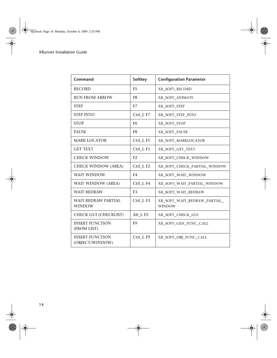Hp.book Page 14 Monday, October 4, 1999 2:33 PM

O

 $\overline{\overline{\bullet}}$ 

#### XRunner Installation Guide

| Command                                   | Softkey        | <b>Configuration Parameter</b>               |
|-------------------------------------------|----------------|----------------------------------------------|
| <b>RECORD</b>                             | F <sub>5</sub> | XR SOFT RECORD                               |
| <b>RUN FROM ARROW</b>                     | F8             | XR SOFT ANIMATE                              |
| <b>STEP</b>                               | F7             | XR SOFT STEP                                 |
| <b>STEP INTO</b>                          | Ctrl_L F7      | XR SOFT STEP INTO                            |
| <b>STOP</b>                               | F <sub>6</sub> | XR SOFT STOP                                 |
| <b>PAUSE</b>                              | F8             | XR SOFT PAUSE                                |
| <b>MARK LOCATOR</b>                       | Ctrl LF5       | XR_SOFT_MARKLOCATOR                          |
| <b>GET TEXT</b>                           | Ctrl_L F1      | XR SOFT GET TEXT                             |
| <b>CHECK WINDOW</b>                       | F <sub>2</sub> | XR SOFT CHECK WINDOW                         |
| <b>CHECK WINDOW (AREA)</b>                | Ctrl_L F2      | XR SOFT CHECK PARTIAL WINDOW                 |
| <b>WAIT WINDOW</b>                        | F4             | XR SOFT WAIT WINDOW                          |
| WAIT WINDOW (AREA)                        | Ctrl_L F4      | XR SOFT WAIT PARTIAL WINDOW                  |
| <b>WAIT REDRAW</b>                        | F <sub>3</sub> | XR SOFT WAIT REDRAW                          |
| WAIT REDRAW PARTIAL<br><b>WINDOW</b>      | Ctrl_L F3      | XR SOFT WAIT REDRAW PARTIAL<br><b>WINDOW</b> |
| CHECK GUI (CHECKLIST)                     | Alt_L F2       | XR SOFT CHECK GUI                            |
| <b>INSERT FUNCTION</b><br>(FROM LIST)     | F <sub>9</sub> | XR SOFT GEN FUNC CALL                        |
| <b>INSERT FUNCTION</b><br>(OBJECT/WINDOW) | Ctrl_L F9      | XR SOFT OBJ FUNC CALL                        |

**AND** 

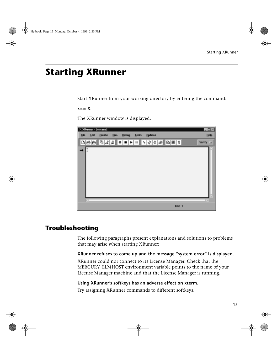# **Starting XRunner**

Start XRunner from your working directory by entering the command:

xrun &

The XRunner window is displayed.



# **Troubleshooting**

The following paragraphs present explanations and solutions to problems that may arise when starting XRunner:

## XRunner refuses to come up and the message "system error" is displayed.

XRunner could not connect to its License Manager. Check that the MERCURY\_ELMHOST environment variable points to the name of your License Manager machine and that the License Manager is running.

### Using XRunner's softkeys has an adverse effect on xterm.

Try assigning XRunner commands to different softkeys.

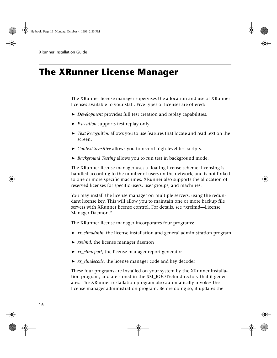XRunner Installation Guide

# **The XRunner License Manager**

The XRunner license manager supervises the allocation and use of XRunner licenses available to your staff. Five types of licenses are offered:

- Development provides full test creation and replay capabilities.
- $\blacktriangleright$  *Execution* supports test replay only.
- ► Text Recognition allows you to use features that locate and read text on the screen.
- > Context Sensitive allows you to record high-level test scripts.
- ▶ Background Testing allows you to run test in background mode.

The XRunner license manager uses a floating license scheme: licensing is handled according to the number of users on the network, and is not linked to one or more specific machines. XRunner also supports the allocation of reserved licenses for specific users, user groups, and machines.

You may install the license manager on multiple servers, using the redundant license key. This will allow you to maintain one or more backup file servers with XRunner license control. For details, see "xrelmd-License Manager Daemon."

The XRunner license manager incorporates four programs:

- $\triangleright$  xr\_elmadmin, the license installation and general administration program
- $\blacktriangleright$  *xrelmd*, the license manager daemon
- $\triangleright$  xr *elmreport*, the license manager report generator
- $\triangleright$  xr\_elmdecode, the license manager code and key decoder

These four programs are installed on your system by the XRunner installation program, and are stored in the \$M ROOT/elm directory that it generates. The XRunner installation program also automatically invokes the license manager administration program. Before doing so, it updates the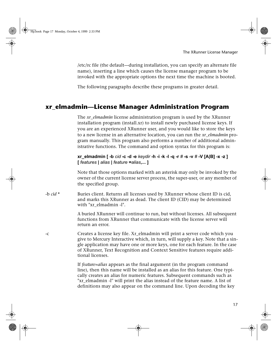Hp.book Page 17 Monday, October 4, 1999 2:33 PM

 $-c$ 

The XRunner License Manager

/etc/rc file (the default—during installation, you can specify an alternate file name), inserting a line which causes the license manager program to be invoked with the appropriate options the next time the machine is booted.

The following paragraphs describe these programs in greater detail.

## xr\_elmadmin—License Manager Administration Program

The xr\_elmadmin license administration program is used by the XRunner installation program (install.xr) to install newly purchased license keys. If you are an experienced XRunner user, and you would like to store the keys to a new license in an alternative location, you can run the xr elmadmin program manually. This program also performs a number of additional administrative functions. The command and option syntax for this program is:

xr\_elmadmin [ -b cid -c -d -e keydir -h -i -k -l -q -r # -s -v # -V [A|B] -x -z ] [features | alias | feature = alias.... ]

Note that those options marked with an asterisk may only be invoked by the owner of the current license server process, the super-user, or any member of the specified group.

-b  $cid$  \* Buries client. Returns all licenses used by XRunner whose client ID is cid, and marks this XRunner as dead. The client ID (CID) may be determined with "xr elmadmin -l".

> A buried XRunner will continue to run, but without licenses. All subsequent functions from XRunner that communicate with the license server will return an error.

Creates a license key file. Xr\_elmadmin will print a server code which you give to Mercury Interactive which, in turn, will supply a key. Note that a single application may have one or more keys, one for each feature. In the case of XRunner, Text Recognition and Context Sensitive features require additional licenses.

> If feature=alias appears as the final argument (in the program command line), then this name will be installed as an alias for this feature. One typically creates an alias for numeric features. Subsequent commands such as "xr\_elmadmin -l" will print the alias instead of the feature name. A list of definitions may also appear on the command line. Upon decoding the key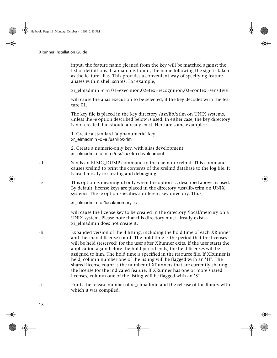#### **XRunner Installation Guide**

input, the feature name gleaned from the key will be matched against the list of definitions. If a match is found, the name following the sign is taken as the feature alias. This provides a convenient way of specifying feature aliases within shell scripts. For example,

xr elmadmin -c -n  $01$ =execution, $02$ =text-recognition, $03$ =context-sensitive

will cause the alias execution to be selected, if the key decodes with the feature 01.

The key file is placed in the key directory /usr/lib/xrlm on UNIX systems, unless the -e option described below is used. In either case, the key directory is not created, but should already exist. Here are some examples:

1. Create a standard (alphanumeric) key: xr elmadmin -c -e /usr/lib/xrlm

2. Create a numeric-only key, with alias development: xr\_elmadmin -c -n -e /usr/lib/xrlm development

- $h-$ Sends an ELMC\_DUMP command to the daemon xrelmd. This command causes xrelmd to print the contents of the xrelmd database to the log file. It is used mostly for testing and debugging.
	- This option is meaningful only when the option -c, described above, is used. By default, license keys are placed in the directory /usr/lib/xrlm on UNIX systems. The -e option specifies a different key directory. Thus,

xr elmadmin - e /local/mercury - c

will cause the license key to be created in the directory /local/mercury on a UNIX system. Please note that this directory must already existxr\_elmadmin does not create it.

- $-h$ Expanded version of the -1 listing, including the hold time of each XRunner and the shared license count. The hold time is the period that the licenses will be held (reserved) for the user after XRunner exits. If the user starts the application again before the hold period ends, the held licenses will be assigned to him. The hold time is specified in the resource file. If XRunner is held, column number one of the listing will be flagged with an "H". The shared license count is the number of XRunners that are currently sharing the license for the indicated feature. If XRunner has one or more shared licenses, column one of the listing will be flagged with an "S".
- Prints the release number of xr\_elmadmin and the release of the library with  $-i$ which it was compiled.

-e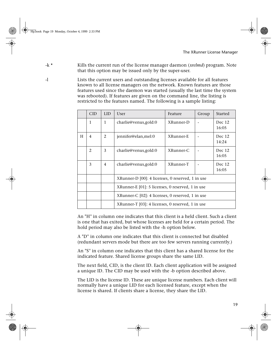Hp.book Page 19 Monday, October 4, 1999 2:33 PM

 $-1$ 

The XRunner License Manager

- $-k$  \* Kills the current run of the license manager daemon (*xrelmd*) program. Note that this option may be issued only by the super-user.
	- Lists the current users and outstanding licenses available for all features known to all license managers on the network. Known features are those features used since the daemon was started (usually the last time the system was rebooted). If features are given on the command line, the listing is restricted to the features named. The following is a sample listing:

|   | <b>CID</b> | <b>LID</b>     | User                                             | Feature   | Group | Started         |
|---|------------|----------------|--------------------------------------------------|-----------|-------|-----------------|
|   | 1          | 1              | charlie@venus,gold:0                             | XRunner-D |       | Dec 12<br>16:05 |
| H | 4          | 2              | jennifer@elan,mel:0                              | XRunner-E |       | Dec 12<br>14:24 |
|   | 2          | 3              | charlie@venus,gold:0                             | XRunner-C |       | Dec 12<br>16:05 |
|   | 3          | $\overline{4}$ | charlie@venus,gold:0                             | XRunner-T |       | Dec 12<br>16:05 |
|   |            |                | XRunner-D [00]: 4 licenses, 0 reserved, 1 in use |           |       |                 |
|   |            |                | XRunner-E [01]: 5 licenses, 0 reserved, 1 in use |           |       |                 |
|   |            |                | XRunner-C [02]: 4 licenses, 0 reserved, 1 in use |           |       |                 |
|   |            |                | XRunner-T [03]: 4 licenses, 0 reserved, 1 in use |           |       |                 |

An "H" in column one indicates that this client is a held client. Such a client is one that has exited, but whose licenses are held for a certain period. The hold period may also be listed with the -h option below.

A "D" in column one indicates that this client is connected but disabled (redundant servers mode but there are too few servers running currently.)

An "S" in column one indicates that this client has a shared license for the indicated feature. Shared license groups share the same LID.

The next field, CID, is the client ID. Each client application will be assigned a unique ID. The CID may be used with the -b option described above.

The LID is the license ID. These are unique license numbers. Each client will normally have a unique LID for each licensed feature, except when the license is shared. If clients share a license, they share the LID.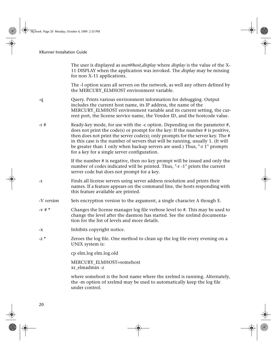**XRunner Installation Guide** 

The user is displayed as *user@host,display* where *display* is the value of the X-11 DISPLAY when the application was invoked. The *display* may be missing for non X-11 applications.

The -l option scans all servers on the network, as well any others defined by the MERCURY ELMHOST environment variable.

Query. Prints various environment information for debugging. Output  $-q$ includes the current host name, its IP address, the name of the MERCURY ELMHOST environment variable and its current setting, the current port, the license service name, the Vendor ID, and the hostcode value.

 $-r$ # Ready-key mode, for use with the -c option. Depending on the parameter #, does not print the  $code(s)$  or prompt for the key: If the number # is positive, then does not print the server code(s); only prompts for the server key. The  $#$ in this case is the number of servers that will be running, usually 1. (It will be greater than 1 only when backup servers are used.) Thus, "-r 1" prompts for a key for a single server configuration.

> If the number # is negative, then no key prompt will be issued and only the number of codes indicated will be printed. Thus, "-r -1" prints the current server code but does not prompt for a key.

- $-S$ Finds all license servers using server address resolution and prints their names. If a feature appears on the command line, the hosts responding with this feature available are printed.
- -V version Sets encryption version to the argument, a single character A though E.
- $-v$  # \* Changes the license manager log file verbose level to #. This may be used to change the level after the daemon has started. See the xrelmd documentation for the list of levels and more details.
- Inhibits copyright notice.  $-X$
- $-Z^*$ Zeroes the log file. One method to clean up the log file every evening on a UNIX system is:

cp elm.log elm.log.old

MERCURY ELMHOST=somehost xr elmadmin -z

where somehost is the host name where the xrelmd is running. Alternately, the -m option of xrelmd may be used to automatically keep the log file under control.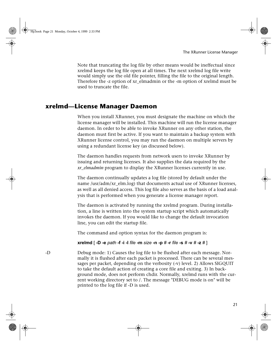Hp.book Page 21 Monday, October 4, 1999 2:33 PM

The XRunner License Manager

Note that truncating the log file by other means would be ineffectual since xrelmd keeps the log file open at all times. The next xrelmd log file write would simply use the old file pointer, filling the file to the original length. Therefore the -z option of xr\_elmadmin or the -m option of xrelmd must be used to truncate the file.

## xrelmd-License Manager Daemon

When you install XRunner, you must designate the machine on which the license manager will be installed. This machine will run the license manager daemon. In order to be able to invoke XRunner on any other station, the daemon must first be active. If you want to maintain a backup system with XRunner license control, you may run the daemon on multiple servers by using a redundant license key (as discussed below).

The daemon handles requests from network users to invoke XRunner by issuing and returning licenses. It also supplies the data required by the *xr elmadmin* program to display the XRunner licenses currently in use.

The daemon continually updates a log file (stored by default under the name /usr/adm/xr elm.log) that documents actual use of XRunner licenses, as well as all denied access. This log file also serves as the basis of a load analysis that is performed when you generate a license manager report.

The daemon is activated by running the xrelmd program. During installation, a line is written into the system startup script which automatically invokes the daemon. If you would like to change the default invocation line, you can edit the startup file.

The command and option syntax for the daemon program is:

### xrelmd  $[-D -e$  path -f -i -l file -m size -n -p # -r file -s # -v # -z #]

Debug mode: 1) Causes the log file to be flushed after each message. Normally it is flushed after each packet is processed. There can be several messages per packet, depending on the verbosity (-v) level. 2) Allows SIGQUIT to take the default action of creating a core file and exiting. 3) In background mode, does not perform chdir. Normally, xrelmd runs with the current working directory set to /. The message "DEBUG mode is on" will be printed to the log file if -D is used.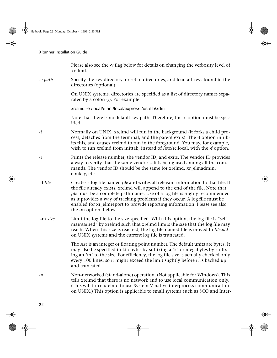Hp.book Page 22 Monday, October 4, 1999 2:33 PM

#### **XRunner Installation Guide**

Please also see the -v flag below for details on changing the verbosity level of xrelmd.

Specify the key directory, or set of directories, and load all keys found in the -e path directories (optional).

> On UNIX systems, directories are specified as a list of directory names separated by a colon (:). For example:

xrelmd -e /local/elan:/local/express:/usr/lib/xrlm

Note that there is no default key path. Therefore, the -e option must be specified.

- -f Normally on UNIX, xrelmd will run in the background (it forks a child process, detaches from the terminal, and the parent exits). The -f option inhibits this, and causes xrelmd to run in the foreground. You may, for example, wish to run xrelmd from inittab, instead of /etc/rc.local, with the -f option.
- $-i$ Prints the release number, the vendor ID, and exits. The vendor ID provides a way to verify that the same vendor salt is being used among all the commands. The vendor ID should be the same for xrelmd, xr\_elmadmin, elmkey, etc.
- $-l$  file Creates a log file named *file* and writes all relevant information to that file. If the file already exists, xrelmd will append to the end of the file. Note that file must be a complete path name. Use of a log file is highly recommended as it provides a way of tracking problems if they occur. A log file must be enabled for xr\_elmreport to provide reporting information. Please see also the -m option, below.
- Limit the log file to the size specified. With this option, the log file is "self -m size maintained" by xrelmd such that xrelmd limits the size that the log file may reach. When this size is reached, the log file named file is moved to file.old on UNIX systems and the current log file is truncated.

The *size* is an integer or floating point number. The default units are bytes. It may also be specified in kilobytes by suffixing a "k" or megabytes by suffixing an "m" to the size. For efficiency, the log file size is actually checked only every 100 lines, so it might exceed the limit slightly before it is backed up and truncated.

Non-networked (stand-alone) operation. (Not applicable for Windows). This  $-n$ tells xrelmd that there is no network and to use local communication only. (This will force xrelmd to use System V native interprocess communication on UNIX.) This option is applicable to small systems such as SCO and Inter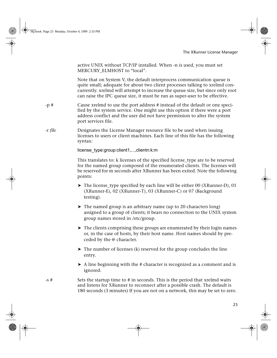Hp.book Page 23 Monday, October 4, 1999 2:33 PM

The XRunner License Manager

active UNIX without TCP/IP installed. When -n is used, you must set MERCURY\_ELMHOST to "local".

Note that on System V, the default interprocess communication queue is quite small; adequate for about two client processes talking to xrelmd concurrently. xrelmd will attempt to increase the queue size, but since only root can raise the IPC queue size, it must be run as super-user to be effective.

 $-p$ # Cause xrelmd to use the port address # instead of the default or one specified by the system service. One might use this option if there were a port address conflict and the user did not have permission to alter the system port services file.

 $-r$  file Designates the License Manager resource file to be used when issuing licenses to users or client machines. Each line of this file has the following syntax:

license type:group:client1,...,clientn:k:m

This translates to: k licenses of the specified license type are to be reserved for the named group composed of the enumerated clients. The licenses will be reserved for m seconds after XRunner has been exited. Note the following points:

- $\triangleright$  The license\_type specified by each line will be either 00 (XRunner-D), 01 (XRunner-E), 02 (XRunner-T), 03 (XRunner-C) or 07 (Background testing).
- $\blacktriangleright$  The named group is an arbitrary name (up to 20 characters long) assigned to a group of clients; it bears no connection to the UNIX system group names stored in /etc/group.
- $\blacktriangleright$  The clients comprising these groups are enumerated by their login names or, in the case of hosts, by their host name. Host names should by preceded by the @ character.
- $\blacktriangleright$  The number of licenses (k) reserved for the group concludes the line entry.
- $\blacktriangleright$  A line beginning with the # character is recognized as a comment and is ignored.

 $-5$ #

Sets the startup time to # in seconds. This is the period that xrelmd waits and listens for XRunner to reconnect after a possible crash. The default is 180 seconds (3 minutes) If you are not on a network, this may be set to zero.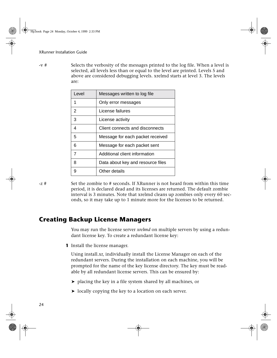Hp.book Page 24 Monday, October 4, 1999 2:33 PM

#### XRunner Installation Guide

-v # Selects the verbosity of the messages printed to the log file. When a level is selected, all levels less than or equal to the level are printed. Levels 5 and above are considered debugging levels. xrelmd starts at level 3. The levels are:

| Level          | Messages written to log file      |
|----------------|-----------------------------------|
| 1              | Only error messages               |
| 2              | License failures                  |
| 3              | License activity                  |
| 4              | Client connects and disconnects   |
| 5              | Message for each packet received  |
| 6              | Message for each packet sent      |
| $\overline{7}$ | Additional client information     |
| 8              | Data about key and resource files |
| 9              | Other details                     |

 $-z$ #

the zombie to  $\#$  seconds. If XRunner is not heard from within this time period, it is declared dead and its licenses are returned. The default zombie interval is 3 minutes. Note that xrelmd cleans up zombies only every 60 seconds, so it may take up to 1 minute more for the licenses to be returned.

# **Creating Backup License Managers**

You may run the license server *xrelmd* on multiple servers by using a redundant license key. To create a redundant license key:

**1** Install the license manager.

Using install.xr, individually install the License Manager on each of the redundant servers. During the installation on each machine, you will be prompted for the name of the key license directory. The key must be readable by all redundant license servers. This can be ensured by:

- ▶ placing the key in a file system shared by all machines, or
- ▶ locally copying the key to a location on each server.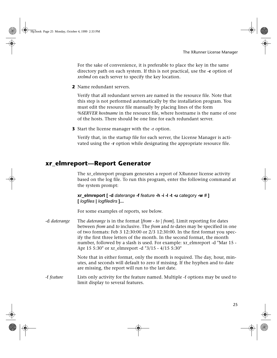The XRunner License Manager

For the sake of convenience, it is preferable to place the key in the same directory path on each system. If this is not practical, use the -e option of xrelmd on each server to specify the key location.

2 Name redundant servers.

Verify that all redundant servers are named in the resource file. Note that this step is not performed automatically by the installation program. You must edit the resource file manually by placing lines of the form %SERVER hostname in the resource file, where hostname is the name of one of the hosts. There should be one line for each redundant server.

3 Start the license manager with the -r option.

Verify that, in the startup file for each server, the License Manager is activated using the -r option while designating the appropriate resource file.

## **xr\_elmreport—Report Generator**

The xr\_elmreport program generates a report of XRunner license activity based on the log file. To run this program, enter the following command at the system prompt:

xr elmreport  $\lceil$  -d *daterange* -f *feature* -h -i -l -t -u category -w #] [ logfiles | logfiledirs ]...

For some examples of reports, see below.

The *daterange* is in the format [*from* - to  $| from$ ]. Limit reporting for dates -d daterange between *from* and *to* inclusive. The *from* and *to* dates may be specified in one of two formats: Feb 3 12:30:00 or 2/3 12:30:00. In the first format you specify the first three letters of the month. In the second format, the month number, followed by a slash is used. For example: xr\_elmreport -d "Mar 15 -Apr 15 5:30" or xr\_elmreport -d "3/15 - 4/15 5:30"

> Note that in either format, only the month is required. The day, hour, minutes, and seconds will default to zero if missing. If the hyphen and to date are missing, the report will run to the last date.

-f feature Lists only activity for the feature named. Multiple -f options may be used to limit display to several features.

25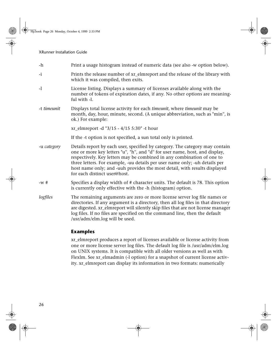Hp.book Page 26 Monday, October 4, 1999 2:33 PM

#### **XRunner Installation Guide**

- -h Print a usage histogram instead of numeric data (see also -w option below).
- Prints the release number of xr\_elmreport and the release of the library with  $-i$ which it was compiled, then exits.
- $-1$ License listing. Displays a summary of licenses available along with the number of tokens of expiration dates, if any. No other options are meaningful with -l.
- -t timeunit Displays total license activity for each timeunit, where timeunit may be month, day, hour, minute, second. (A unique abbreviation, such as "min", is ok.) For example:

xr\_elmreport -d "3/15 - 4/15 5:30" -t hour

If the -t option is not specified, a sun total only is printed.

- -u category Details report by each user, specified by category. The category may contain one or more key letters "u", "h", and "d" for user name, host, and display, respectively. Key letters may be combined in any combination of one to three letters. For example, -uu details per user name only; -uh details per host name only; and -uuh provides the most detail, with results displayed for each distinct user@host.
- $-w$ # Specifies a display width of # character units. The default is 78. This option is currently only effective with the -h (histogram) option.
- logfiles The remaining arguments are zero or more license server log file names or directories. If any argument is a directory, then all log files in that directory are digested. xr\_elmreport will silently skip files that are not license manager log files. If no files are specified on the command line, then the default /usr/adm/elm.log will be used.

### **Examples**

xr\_elmreport produces a report of licenses available or license activity from one or more license server log files. The default log file is /usr/adm/elm.log on UNIX systems. It is compatible with all older versions as well as with Flexlm. See xr\_elmadmin (-l option) for a snapshot of current license activity. xr\_elmreport can display its information in two formats: numerically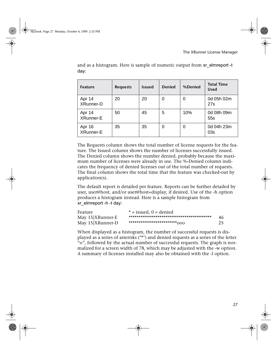and as a histogram. Here is sample of numeric output from xr elmreport -t day:

| <b>Feature</b>             | <b>Requests</b> | <b>Issued</b> | <b>Denied</b> | %Denied | <b>Total Time</b><br><b>Used</b> |
|----------------------------|-----------------|---------------|---------------|---------|----------------------------------|
| Apr 14<br>XRunner-D        | 20              | 20            | 0             | 0       | 0d 05h 02m<br>27s                |
| Apr 14<br>XRunner-E        | 50              | 45            | 5             | 10%     | 0d 08h 09m<br>55s                |
| Apr 16<br><b>XRunner-E</b> | 35              | 35            | 0             | 0       | 0d 04h 23m<br>03s                |

The Requests column shows the total number of license requests for the feature. The Issued column shows the number of licenses successfully issued. The Denied column shows the number denied, probably because the maximum number of licenses were already in use. The %-Denied column indicates the frequency of denied licenses out of the total number of requests. The final column shows the total time that the feature was checked-out by application(s).

The default report is detailed per feature. Reports can be further detailed by user, user@host, and/or user@host+display, if desired. Use of the -h option produces a histogram instead. Here is a sample histogram from xr elmreport -h -t day:

| Feature          | $*$ = issued, $0$ = denied    |    |
|------------------|-------------------------------|----|
| May 15 XRunner-E |                               | 46 |
| May 15 XRunner-D | **************************000 | 25 |

When displayed as a histogram, the number of successful requests is displayed as a series of asterisks ("\*") and denied requests as a series of the letter "o", followed by the actual number of successful requests. The graph is normalized for a screen width of 78, which may be adjusted with the -w option. A summary of licenses installed may also be obtained with the -l option.

27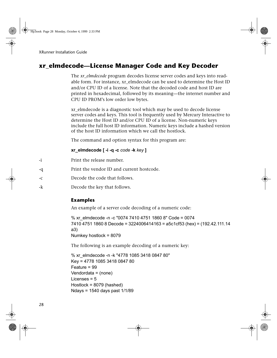XRunner Installation Guide

# xr\_elmdecode-License Manager Code and Key Decoder

The xr\_elmdecode program decodes license server codes and keys into readable form. For instance, xr\_elmdecode can be used to determine the Host ID and/or CPU ID of a license. Note that the decoded code and host ID are printed in hexadecimal, followed by its meaning-the internet number and CPU ID PROM's low order low bytes.

xr\_elmdecode is a diagnostic tool which may be used to decode license server codes and keys. This tool is frequently used by Mercury Interactive to determine the Host ID and/or CPU ID of a license. Non-numeric keys include the full host ID information. Numeric keys include a hashed version of the host ID information which we call the hostlock.

The command and option syntax for this program are:

#### xr elmdecode [ -i -g -c code -k key ]

- Print the release number.
- Print the vendor ID and current hostcode. -q
- $-C$ Decode the code that follows.
- -k Decode the key that follows.

### **Examples**

An example of a server code decoding of a numeric code:

% xr elmdecode -n -c "0074 7410 4751 1860 8" Code = 0074 7410 4751 1860 8 Decode = 3224006414163 = a5c1cf53 (hex) = (192.42.111.14  $a3)$ Numkey hostlock = 8079

The following is an example decoding of a numeric key:

% xr\_elmdecode -n -k "4778 1085 3418 0847 80" Key = 4778 1085 3418 0847 80 Feature =  $99$ Vendordata = (none) Licenses =  $5$ Hostlock =  $8079$  (hashed) Ndays = 1540 days past 1/1/89



-i.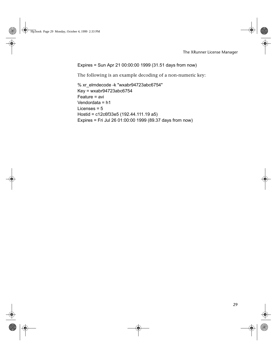Hp.book Page 29 Monday, October 4, 1999 2:33 PM

29

The XRunner License Manager

Expires = Sun Apr 21 00:00:00 1999 (31.51 days from now)

The following is an example decoding of a non-numeric key:

% xr\_elmdecode -k "wxabr94723abc6754"  $Key = waxabr94723abc6754$ Feature = avi Vendordata = h1 Licenses =  $5$ Hostid = c12c6f33e5 (192.44.111.19 a5) Expires = Fri Jul 26 01:00:00 1999 (89.37 days from now)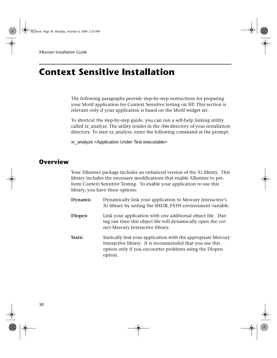XRunner Installation Guide

# **Context Sensitive Installation**

The following paragraphs provide step-by-step instructions for preparing your Motif application for Context Sensitive testing on HP. This section is relevant only if your application is based on the Motif widget set.

To shortcut the step-by-step guide, you can run a self-help linking utility called xr\_analyze. The utility resides in the /bin directory of your installation directory. To start xr\_analyze, enter the following command at the prompt:

xr\_analyze <Application Under Test executable>

## **Overview**

Your XRunner package includes an enhanced version of the Xt library. This library includes the necessary modifications that enable XRunner to perform Context Sensitive Testing. To enable your application to use this library, you have three options:

Dynamic Dynamically link your application to Mercury Interactive's Xt library by setting the SHLIB\_PATH environment variable. **Dlopen** Link your application with one additional object file. During run time this object file will dynamically open the cor-

rect Mercury Interactive library.

**Static** Statically link your application with the appropriate Mercury Interactive library. It is recommended that you use this option only if you encounter problems using the Dlopen option.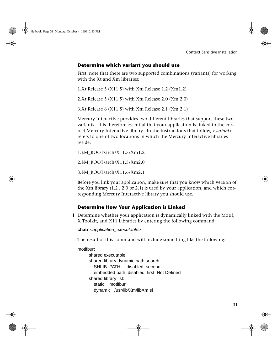Context Sensitive Installation

### Determine which variant you should use

First, note that there are two supported combinations (variants) for working with the Xt and Xm libraries:

1.Xt Release 5 (X11.5) with Xm Release 1.2 (Xm1.2)

2.Xt Release 5 (X11.5) with Xm Release 2.0 (Xm 2.0)

3.Xt Release 6 (X11.5) with Xm Release 2.1 (Xm 2.1)

Mercury Interactive provides two different libraries that support these two variants. It is therefore essential that your application is linked to the correct Mercury Interactive library. In the instructions that follow, <variant> refers to one of two locations in which the Mercury Interactive libraries reside:

1.\$M ROOT/arch/X11.5/Xm1.2

2.\$M ROOT/arch/X11.5/Xm2.0

3.\$M\_ROOT/arch/X11.6/Xm2.1

Before you link your application, make sure that you know which version of the Xm library  $(1.2, 2.0 \text{ or } 2.1)$  is used by your application, and which corresponding Mercury Interactive library you should use.

## **Determine How Your Application is Linked**

1 Determine whether your application is dynamically linked with the Motif, X Toolkit, and X11 Libraries by entering the following command:

chatr <application executable>

The result of this command will include something like the following:

motifbur:

shared executable shared library dynamic path search: SHLIB PATH disabled second embedded path disabled first Not Defined shared library list: static motifbur dynamic /usr/lib/Xm/libXm.sl

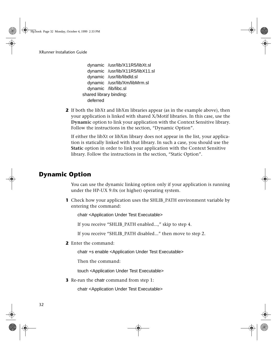Hp.book Page 32 Monday, October 4, 1999 2:33 PM

XRunner Installation Guide

 dynamic /usr/lib/X11R5/libXt.sl dynamic /usr/lib/X11R5/libX11.sl dynamic /usr/lib/libdld.sl dynamic /usr/lib/Xm/libMrm.sl dynamic /lib/libc.sl shared library binding: deferred

**2** If both the libXt and libXm libraries appear (as in the example above), then your application is linked with shared X/Motif libraries. In this case, use the Dynamic option to link your application with the Context Sensitive library. Follow the instructions in the section, "Dynamic Option".

If either the libXt or libXm library does not appear in the list, your application is statically linked with that library. In such a case, you should use the **Static** option in order to link your application with the Context Sensitive library. Follow the instructions in the section, "Static Option".

# **Dynamic Option**

You can use the dynamic linking option only if your application is running under the HP-UX 9.0x (or higher) operating system.

**1** Check how your application uses the SHLIB\_PATH environment variable by entering the command:

chatr <Application Under Test Executable>

If you receive "SHLIB\_PATH enabled…," skip to step 4.

If you receive "SHLIB\_PATH disabled…" then move to step 2.

**2** Enter the command:

chatr +s enable <Application Under Test Executable>

Then the command:

touch <Application Under Test Executable>

**3** Re-run the chatr command from step 1:

chatr <Application Under Test Executable>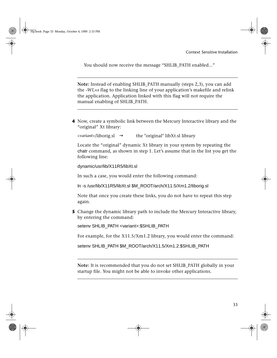Hp.book Page 33 Monday, October 4, 1999 2:33 PM

Context Sensitive Installation

You should now receive the message "SHLIB\_PATH enabled..."

Note: Instead of enabling SHLIB\_PATH manually (steps 2,3), you can add the -Wl,+s flag to the linking line of your application's makefile and relink the application. Application linked with this flag will not require the manual enabling of SHLIB\_PATH.

4 Now, create a symbolic link between the Mercury Interactive library and the "original" Xt library:

 $\langle variant \rangle / liborig.sl \rightarrow$ the "original" libXt.sl library

Locate the "original" dynamic Xt library in your system by repeating the chatr command, as shown in step 1. Let's assume that in the list you get the following line:

dynamic/usr/lib/X11R5/libXt.sl

In such a case, you would enter the following command:

In -s /usr/lib/X11R5/libXt.sl \$M\_ROOT/arch/X11.5/Xm1.2/liborig.sl

Note that once you create these links, you do not have to repeat this step again.

5 Change the dynamic library path to include the Mercury Interactive library, by entering the command:

setenv SHLIB\_PATH <variant>:\$SHLIB\_PATH

For example, for the X11.5/Xm1.2 library, you would enter the command:

setenv SHLIB\_PATH \$M\_ROOT/arch/X11.5/Xm1.2:\$SHLIB\_PATH

Note: It is recommended that you do not set SHLIB\_PATH globally in your startup file. You might not be able to invoke other applications.

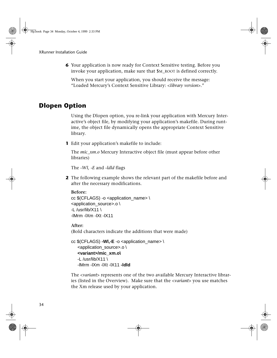Hp.book Page 34 Monday, October 4, 1999 2:33 PM

XRunner Installation Guide

6 Your application is now ready for Context Sensitive testing. Before you invoke your application, make sure that \$M\_ROOT is defined correctly.

When you start your application, you should receive the message: "Loaded Mercury's Context Sensitive Library: <library version>."

## **Dlopen Option**

Using the Dlopen option, you re-link your application with Mercury Interactive's object file, by modifying your application's makefile. During runtime, the object file dynamically opens the appropriate Context Sensitive library.

**1** Edit your application's makefile to include:

The *mic\_xm.o* Mercury Interactive object file (must appear before other libraries)

The  $-Wl$ ,  $-E$  and  $-ldld$  flags

2 The following example shows the relevant part of the makefile before and after the necessary modifications.

### **Before:**

```
cc $(CFLAGS) -o <application_name> \
<application_source>.o \
-L /usr/lib/X11 \
-lMrm -lXm -lXt -lX11
```
#### **After:**

(Bold characters indicate the additions that were made)

```
cc $(CFLAGS) -Wl,-E -o <application_name> \
   <application_source>.o \
   <variant>/mic_xm.o\ 
   -L /usr/lib/X11 \
   -lMrm -lXm -lXt -lX11 -ldld
```
The *<variant>* represents one of the two available Mercury Interactive libraries (listed in the Overview). Make sure that the <variant> you use matches the Xm release used by your application.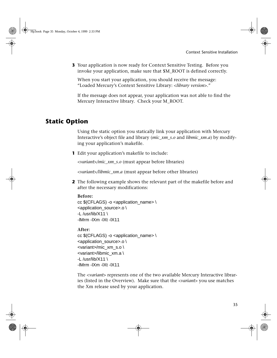Context Sensitive Installation

**3** Your application is now ready for Context Sensitive Testing. Before you invoke your application, make sure that \$M\_ROOT is defined correctly.

When you start your application, you should receive the message: "Loaded Mercury's Context Sensitive Library: <library version>."

If the message does not appear, your application was not able to find the Mercury Interactive library. Check your M\_ROOT.

## **Static Option**

Using the static option you statically link your application with Mercury Interactive's object file and library (*mic\_xm\_s.o* and *libmic\_xm.a*) by modifying your application's makefile.

**1** Edit your application's makefile to include:

<variant>/mic\_xm\_s.o (must appear before libraries)

*<variant>/libmic\_xm.a* (must appear before other libraries)

2 The following example shows the relevant part of the makefile before and after the necessary modifications:

**Before:** 

cc \$(CFLAGS) -o <application\_name> \ <application\_source>.o \ -L /usr/lib/ $X$ 11 \ -lMrm -lXm -lXt -lX11

#### **After:**

cc \$(CFLAGS) -o <application\_name> \ <application\_source>.o \ <variant>/mic\_xm\_s.o \ <variant>/libmic\_xm.a \ -L /usr/lib/ $X$ 11 \ -lMrm -lXm -lXt -lX11

The *<variant>* represents one of the two available Mercury Interactive libraries (listed in the Overview). Make sure that the <variant> you use matches the Xm release used by your application.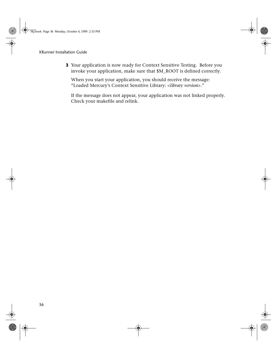Hp.book Page 36 Monday, October 4, 1999 2:33 PM

XRunner Installation Guide

36

3 Your application is now ready for Context Sensitive Testing. Before you invoke your application, make sure that \$M\_ROOT is defined correctly.

When you start your application, you should receive the message: "Loaded Mercury's Context Sensitive Library: <library version>."

If the message does not appear, your application was not linked properly. Check your makefile and relink.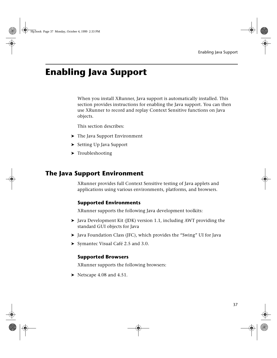# **Enabling Java Support**

When you install XRunner, Java support is automatically installed. This section provides instructions for enabling the Java support. You can then use XRunner to record and replay Context Sensitive functions on Java objects.

This section describes:

- The Java Support Environment
- $\blacktriangleright$  Setting Up Java Support
- $\blacktriangleright$  Troubleshooting

## **The Java Support Environment**

XRunner provides full Context Sensitive testing of Java applets and applications using various environments, platforms, and browsers.

### **Supported Environments**

XRunner supports the following Java development toolkits:

- $\blacktriangleright$  Java Development Kit (JDK) version 1.1, including AWT providing the standard GUI objects for Java
- > Java Foundation Class (JFC), which provides the "Swing" UI for Java
- Symantec Visual Café 2.5 and 3.0.

### **Supported Browsers**

XRunner supports the following browsers:

 $\blacktriangleright$  Netscape 4.08 and 4.51.

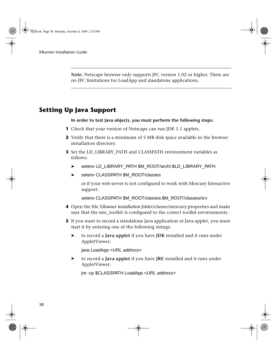Hp.book Page 38 Monday, October 4, 1999 2:33 PM

XRunner Installation Guide

Note: Netscape browser only supports JFC version 1.02 or higher. There are no JFC limitations for LoadApp and standalone applications.

# **Setting Up Java Support**

### In order to test Java objects, you must perform the following steps:

- 1 Check that your version of Netscape can run JDK 1.1 applets.
- 2 Verify that there is a minimum of 5 MB disk space available in the browser installation directory.
- 3 Set the LD LIBRARY PATH and CLASSPATH environment variables as follows:
	- setenv LD\_LIBRARY\_PATH \$M\_ROOT/arch/:\$LD\_LIBRARY\_PATH  $\blacktriangleright$
	- setenv CLASSPATH \$M ROOT/classes  $\blacktriangleright$

or if your web server is not configured to work with Mercury Interactive support:

setenv CLASSPATH \$M\_ROOT/classes:\$M\_ROOT/classes/srv

- 4 Open the file XRunner installation folder/classes/mercury.properties and make sure that the mic toolkit is configured to the correct toolkit environments.
- 5 If you want to record a standalone Java application or Java applet, you must start it by entering one of the following strings:
	- $\blacktriangleright$ to record a Java applet if you have JDK installed and it runs under AppletViewer:

java LoadApp <URL address>

to record a Java applet if you have JRE installed and it runs under  $\blacktriangleright$ AppletViewer:

jre -cp \$CLASSPATH LoadApp < URL address>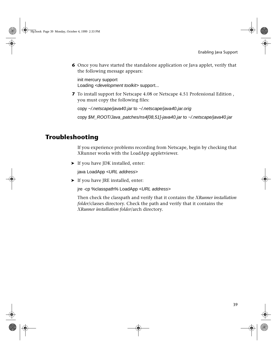Enabling Java Support

6 Once you have started the standalone application or Java applet, verify that the following message appears:

init mercury support Loading <development toolkit> support...

7 To install support for Netscape 4.08 or Netscape 4.51 Professional Edition, you must copy the following files:

copy ~/.netscape/java40.jar to ~/.netscape/java40.jar.orig

copy \$M\_ROOT/Java\_patches/ns4[08,51]-java40.jar to ~/.netscape/java40.jar

# **Troubleshooting**

If you experience problems recording from Netscape, begin by checking that XRunner works with the LoadApp appletviewer.

> If you have JDK installed, enter:

java LoadApp <URL address>

> If you have JRE installed, enter:

jre -cp %classpath% LoadApp <URL address>

Then check the classpath and verify that it contains the XRunner installation folder/classes directory. Check the path and verify that it contains the XRunner installation folder/arch directory.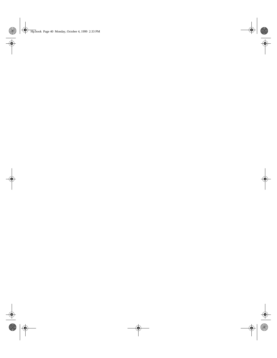Hp.book Page 40 Monday, October 4, 1999 2:33 PM